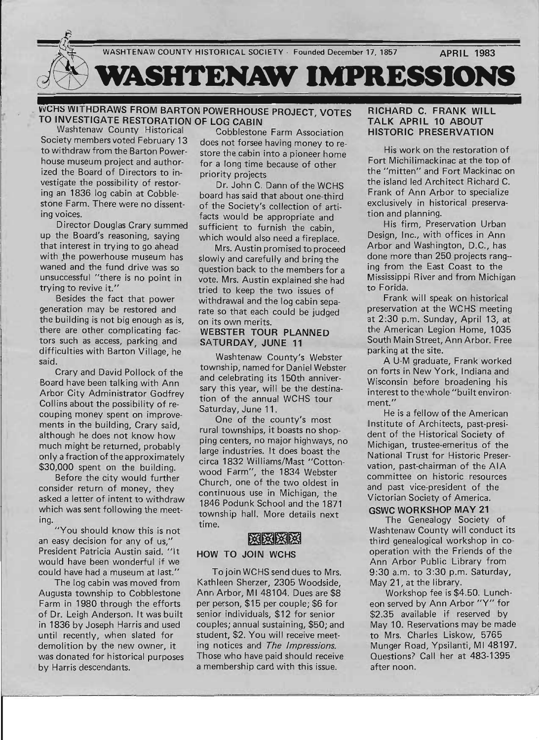

## WCHS WITHDRAWS FROM BARTON POWERHOUSE PROJECT, VOTES **TO INVESTIGATE RESTORATION OF LOG CABIN**<br>Washtenaw County Historical Cobbleston

house museum project and author- for a long time because of other ized the Board of Directors to in-<br>priority projects vestigate the possibility of restor- Dr. John C. Dann of the WCHS ing an 1836 log cabin at Cobble-<br>stone Farm. There were no dissent- of the Society's collection of arti-

Director Douglas Crary summed sufficient to furnish the cabin,<br>up the Board's reasoning, saving which would also need a fireplace that interest in trying to go ahead Mrs. Austin promised to proceed with the powerhouse museum has slowly and carefully and bring the waned and the fund drive was so annestion back to the members for waned and the fund drive was so question back to the members for a unsuccessful "there is no point in yote. Mrs Austin explained she had

Besides the fact that power withdrawal and the log cabin sepa-<br>generation may be restored and rate so that each could be judged the building is not big enough as is, on its own merits. there are other complicating fac- WEBSTER TOUR PLANNED tors such as access, parking and SATURDAY, JUNE 11 difficulties with Barton Village, he said.

Crary and David Pollock of the Board have been talking with Ann Arbor City Administrator Godfrey Collins about the possibility of recouping money spent on improvements in the building, Crary said, although he does not know how much might be returned, probably only a fraction of the approximately \$30,000 spent on the building.

Before the city would further consider return of money, they asked a letter of intent to withdraw which was sent following the meeting.

"You should know this is not an easy decision for any of us," President Patricia Austin said. "It would have been wonderful if we could have had a museum at last."

The log cabin was moved from Augusta township to Cobblestone Farm in 1980 through the efforts of Dr. Leigh Anderson. It was built in 1836 by Joseph Harris and used until recently, when slated for demolition by the new owner, it was donated for historical purposes by Harris descendants.

Washtenaw County Historical Cobblestone Farm Association<br>Society members voted February 13 does not forsee having money to re Society members voted February 13 does not forsee having money to re-<br>to withdraw from the Barton Power-<br>store the cabin into a pioneer home store the cabin into a pioneer home

of the Society's collection of artiing voices.<br>
prector Douglas Crary summed<br>
prector Douglas Crary summed<br>
sufficient to furnish the cabin which would also need a fireplace.

vote. Mrs. Austin explained she had trying to revive it."<br>Besides the fact that power withdrawal and the log cabin seprate so that each could be judged

Washtenaw County's Webster township, named for Daniel Webster and celebrating its 150th anniversary this year, will be the destination of the annual WCHS tour Saturday, June 11.

One of the county's most rural townships, it boasts no shopping centers, no major highways, no large industries. It does boast the circa 1832 Williams/Mast "Cottonwood Farm", the 1834 Webster Church, one of the two oldest in continuous use in Michigan, the 1846 Podunk School and the 1871 township hall. More detaiis next time.

### HOW TO JOIN WCHS

To join WCHS send dues to Mrs. Kathleen Sherzer, 2305 Woodside, Ann Arbor, MI 48104. Dues are \$8 per person, \$15 per couple; \$6 for senior individuals, \$12 for senior couples; annual sustaining, \$50; and student, \$2. You will receive meeting notices and The Impressions. Those who have paid should receive a membership card with this issue.

### RICHARD C. FRANK WILL TALK APRIL 10 ABOUT HISTORIC PRESERVATION

His work on the restoration of Fort Michilimackinac at the top of the "mitten" and Fort Mackinac on the island led Architect Richard C. Frank of Ann Arbor to specialize exclusively in historical preservation and planning.

His firm, Preservation Urban Design, Inc., with offices in Ann Arbor and Washington, D.C., has done more than 250 projects rang- ing from the East Coast to the Mississippi River and from Michigan to Forida.

Frank will speak on historical preservation at the WCHS meeting at 2:30 p.m. Sunday, April 13, at the American Legion Home, 1035 South Main Street, Ann Arbor. Free parking at the site.

A U-M graduate, Frank worked on forts in New York, Indiana and Wisconsin before broadening his interest to the whole "built environ- . ment."

He is a fellow of the American Institute of Architects, past-president of the Historical Society of Michigan, trustee-emeritus of the National Trust for Historic Preservation, past-chairman of the AlA committee on historic resources and past vice-president of the Victorian Society of America.

GSWC WORKSHOP MAY 21 The Genealogy Society of Washtenaw County will conduct its third genealogical workshop in cooperation with the Friends of the Ann Arbor Public Library from 9:30 a.m. to 3:30 p.m. Saturday, May 21, at the library.

Workshop fee is \$4.50. Luncheon served by Ann Arbor "Y" for \$2.35 available if reserved by May 10. Reservations may be made to Mrs. Charles Liskow, 5765 Munger Road, Ypsilanti, MI 48197. Questions? Call her at 483-1395 after noon.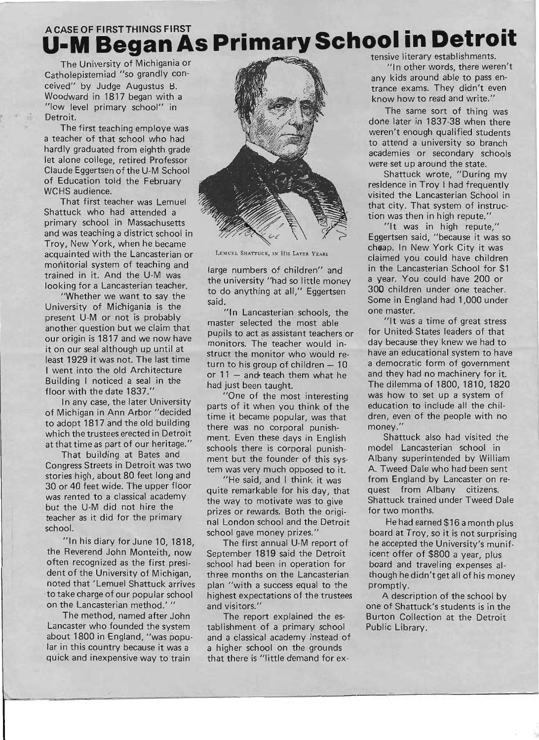# A CASE OF FIRST THINGS FIRST **AS Primary School in Detroit**

Troy, New York, when he became<br>acquisinted with the Lancasterian or LENUEL SHATTUCK, IN HIS LATER YEARS cheap. In New York City it was acquainted with the Lancasterian or LEMUEL SHATTUCK, IN HIS LATER YEARS claimed you could have children monitorial system of teaching and large numbers of children" and in the Lancasterian School for \$1 trained in it. And the U-M was the university "had so little money a year. You could have 200 or

University of Michigania is the "In Lancasterian schools, the one master. present U-M or not is probably<br>master selected the most able "It was a time of great stress" another question but we claim that pupils to act as assistant teachers or for United· States leaders of that our origin is 1817 and we now have monitors. The teacher would in-<br>monitors. The teacher would init on our seal although up until at struct the monitor who would re- have an educational system to have least 1929 it was not. The last time<br>turn to his group of children – 10 a democratic form of government I went into the old Architecture or 11 – and teach them what he and they had no machinery for it. Building I noticed a seal in the had just been taught. The dilemma of 1800, 1810, 1820

of Michigan in Ann Arbor "decided time it became popular, was that dren, even of the people with no to adopt 1817 and the old building there was no corporal punish- money." which the trustees erected in Detroit ment. Even these days in English Shattuck also had visited the

Congress Streets in Detroit was two<br>tem was very much opposed to it. A. Tweed Dale who had been sent stories high, about 80 feet long and "He said, and I think it was from England by Lancaster on re-30 or 40 feet wide. The upper floor quite remarkable for his day, that quest from Albany citizens. but the U-M did not hire the prizes or rewards. Both the origi- for two months. teacher as it did for the primary hall London school and the Detroit He had earned \$16 a month plus

the Reverend John Monteith, now September 1819 said the Detroit icent offer of \$800 a year, plus often recognized as the first presi-<br>school had been in operation for board and traveling expenses aldent of the University of Michigan, three months on the Lancasterian though he didn't get all of his money noted that 'Lemuel Shattuck arrives plan "with a success equal to the promptly. to take charge of our popular school highest expectations of the trustees A description of the school by on the Lancasterian method.' " and visitors." one of Shattuck's students is in the

Lancaster who founded the system tablishment of a primary school Public Library. about 1800 in England, "was popu- and a classical academy instead of lar in this country because it was a a higher school on the grounds quick and inexpensive way to train that there is "little demand for ex-



looking for a Lancasterian teacher. to do anything at all," Eggertsen 300 children under one teacher. "Whether we want to say the said. Some in England had 1,000 under

In any case, the later University parts of it when you think of the education to include all the chilat thattime as part of our heritage." schools there is corporal punish- model Lancasterian school in

floor with the date 1837." "One of the most interesting was how to set up a system of

That building at Bates and ment but the founder of this sys-<br>ment but the founder of this sys-<br>Albany superintended by William was rented to a classical academy<br>the way to motivate was to give Shattuck trained under Tweed Dale

school.<br>school gave money prizes." board at Troy, so it is not surprising "In his diary for June 10, 1818, The first annual U-M report of he accepted the University's munif-

The method, named after John The report explained the es- Burton Collection at the Detroit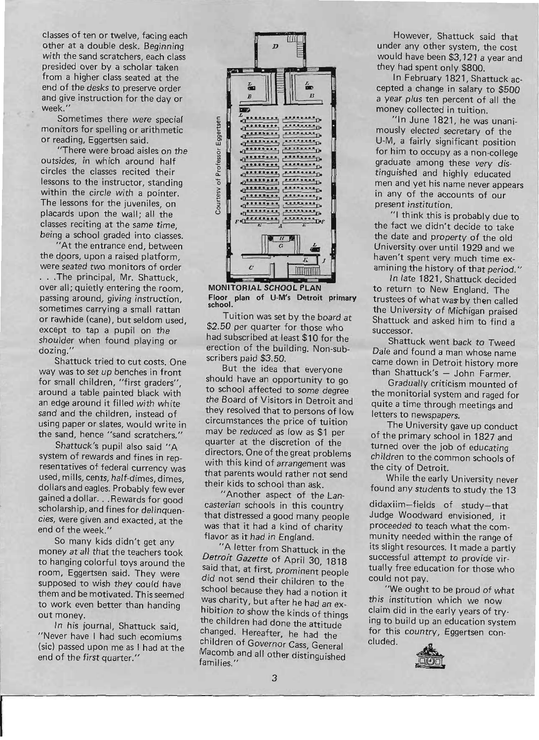classes of ten or twelve, facing each other at a double desk. Beginning with the sand scratchers, each class presided over by a scholar taken from a higher class seated at the end of the desks to preserve order and give instruction for the day or week."

Sometimes there were special monitors for spelling or arithmetic or reading, Eggertsen said.

"There were broad aisles on the outsides, in which around half circles the classes recited their lessons to the instructor, standing within the circle with a pointer. The lessons for the juveniles, on placards upon the wall; all the classes reciting at the same time, being a school graded into classes.

"At the entrance end, between the doors, upon a raised platform. were seated two monitors of order ... The principal, Mr. Shattuck, over all; quietly entering the room, passing around, giving instruction, sometimes carrying a small rattan or rawhide (cane), but seldom used, except to tap a pupil on the shoulder when found playing or dozing."

Shattuck tried to cut costs. One way was to set up benches in front for small children, "first graders", around a table painted black with an edge around it filled with white sand and the children, instead of using paper or slates, would write in the sand, hence "sand scratchers."

Shattuck's pupil also said "A system of rewards and fines in representatives of federal currency was used, mills, cents, half-dimes, dimes, dollars and eagles. Probably few ever gained a dollar. . . Rewards for good scholarship, and fines for delinquencies, were given and exacted, at the end of the week."

So many kids didn't get any money at all that the teachers took to hanging colorful toys around the room, Eggertsen said. They were supposed to wish they could have them and be motivated. This seemed to work even better than handing out money.

In his journal, Shattuck said, "Never have I had such ecomiums (sic) passed upon me as I had at the end of the first quarter."



FOOTTOTHE BUTTOULT LAN shool.<br>Ioor

Tuition was set by the board at \$2.50 per quarter for those who had subscribed at least \$10 for the erection of the building. Non-subscribers paid \$3.50.

But the idea that everyone should have an opportunity to go to school affected to some degree the Board of Visitors in Detroit and they resolved that to persons of low circumstances the price of tuition may be reduced as low as \$1 per quarter at the discretion of the directors. One of the great problems with this kind of arrangement was that parents would rather not send their kids to school than ask.

"Another aspect of the Lancasterian schools in this country that distressed a good many people was that it had a kind of charity flavor as it had in England.

"A letter from Shattuck in the *Detroit Gazette* of April 30, 1818 said that, at first, prominent people did not send their children to the school because they had a notion it was charity, but after he had an exhibition to show the kinds of things the children had done the attitude changed. Hereafter, he had the children of Governor Cass, General  $M$ comb and all other distinguished in  $M$ nilies."

However, Shattuck said that mowever, shattuck said that under any other system, the cost would have been \$3,121 a year and<br>they had spent only \$800.  $\frac{1}{2}$  Fiad spent only  $\frac{1}{2}$   $\frac{1}{2}$ 

in repruary 1821, Shattuck accepted a change in salary to \$500 a year plus ten percent of all the money collected in tuition.

"In June 1821, he was unanimously elected secretary of the U-M, a fairly significant position for him to occupy as a non-college graduate among these very distinguished and highly educated men and yet his name never appears in any of the accounts of our<br>present institution.  $\mu$  this is the top  $\mu$  this is probably due to  $\mu$ 

the fact we did the fact we did to take the fact we did to the fact we didn't decide to take the date and property of the old University over until 1929 and we haven't spent very much time examining the history of that period."

In late 1821, Shattuck decided to return to New England. The trustees of what was by then called the University of Michigan praised Shattuck and asked him to find a<br>successor.  $\mathsf{ssor}$ .

Diatuck went back to I weed Dale and found a man whose name came down in Detroit history more than Shattuck's  $-$  John Farmer.

Gradually criticism mounted of the monitorial system and raged for quite a time through meetings and<br>letters to newspapers.  $T_{\text{S}}$  to newspapers.

The University gave up conduct of the primary school in 1827 and turned over the job of educating children to the common schools of<br>the city of Detroit. While the early University never see the early university never see the early the early the early the see the s

writte the early University never  $\frac{d}{dt}$ 

daxiim—fields of study—that Judge Woodward envisioned, it proceeded to teach what the community needed within the range of its slight resources. It made a partly successful attempt to provide virtually free education for those who<br>could not pay.  $\mathsf{mot}\,\mathsf{pay}.$ 

we ought to be proud of what this institution which we now claim did in the early years of trying to build up an education system for this country, Eggertsen con-<br>cluded.